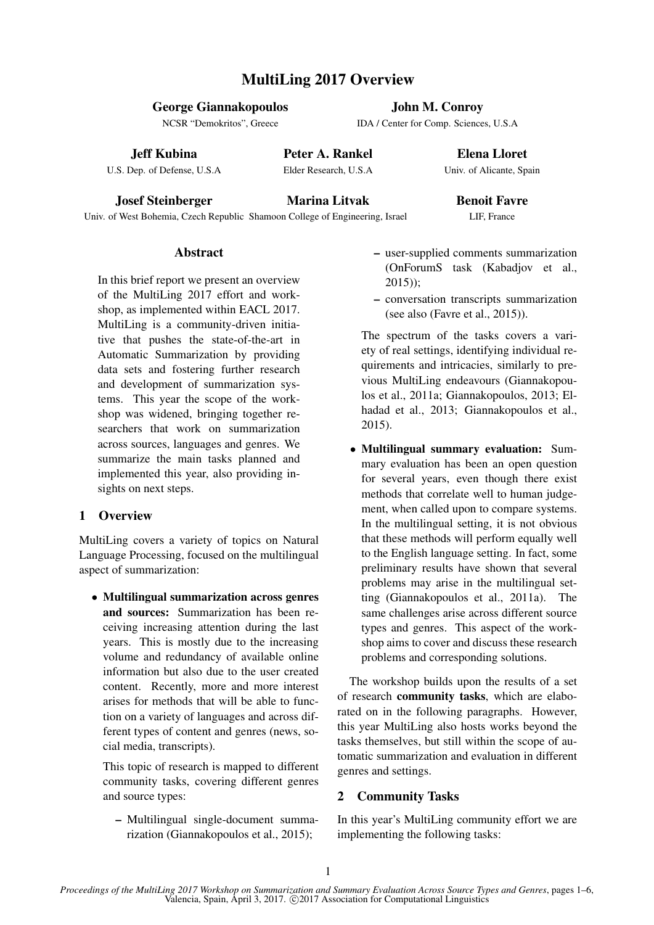# MultiLing 2017 Overview

#### George Giannakopoulos

NCSR "Demokritos", Greece

#### Jeff Kubina

U.S. Dep. of Defense, U.S.A

Peter A. Rankel Elder Research, U.S.A

Elena Lloret Univ. of Alicante, Spain

John M. Conroy IDA / Center for Comp. Sciences, U.S.A

Josef Steinberger

Marina Litvak

## Benoit Favre LIF, France

Univ. of West Bohemia, Czech Republic Shamoon College of Engineering, Israel

### Abstract

In this brief report we present an overview of the MultiLing 2017 effort and workshop, as implemented within EACL 2017. MultiLing is a community-driven initiative that pushes the state-of-the-art in Automatic Summarization by providing data sets and fostering further research and development of summarization systems. This year the scope of the workshop was widened, bringing together researchers that work on summarization across sources, languages and genres. We summarize the main tasks planned and implemented this year, also providing insights on next steps.

# 1 Overview

MultiLing covers a variety of topics on Natural Language Processing, focused on the multilingual aspect of summarization:

• Multilingual summarization across genres and sources: Summarization has been receiving increasing attention during the last years. This is mostly due to the increasing volume and redundancy of available online information but also due to the user created content. Recently, more and more interest arises for methods that will be able to function on a variety of languages and across different types of content and genres (news, social media, transcripts).

This topic of research is mapped to different community tasks, covering different genres and source types:

– Multilingual single-document summarization (Giannakopoulos et al., 2015);

- user-supplied comments summarization (OnForumS task (Kabadjov et al., 2015));
- conversation transcripts summarization (see also (Favre et al., 2015)).

The spectrum of the tasks covers a variety of real settings, identifying individual requirements and intricacies, similarly to previous MultiLing endeavours (Giannakopoulos et al., 2011a; Giannakopoulos, 2013; Elhadad et al., 2013; Giannakopoulos et al., 2015).

• Multilingual summary evaluation: Summary evaluation has been an open question for several years, even though there exist methods that correlate well to human judgement, when called upon to compare systems. In the multilingual setting, it is not obvious that these methods will perform equally well to the English language setting. In fact, some preliminary results have shown that several problems may arise in the multilingual setting (Giannakopoulos et al., 2011a). The same challenges arise across different source types and genres. This aspect of the workshop aims to cover and discuss these research problems and corresponding solutions.

The workshop builds upon the results of a set of research community tasks, which are elaborated on in the following paragraphs. However, this year MultiLing also hosts works beyond the tasks themselves, but still within the scope of automatic summarization and evaluation in different genres and settings.

# 2 Community Tasks

In this year's MultiLing community effort we are implementing the following tasks: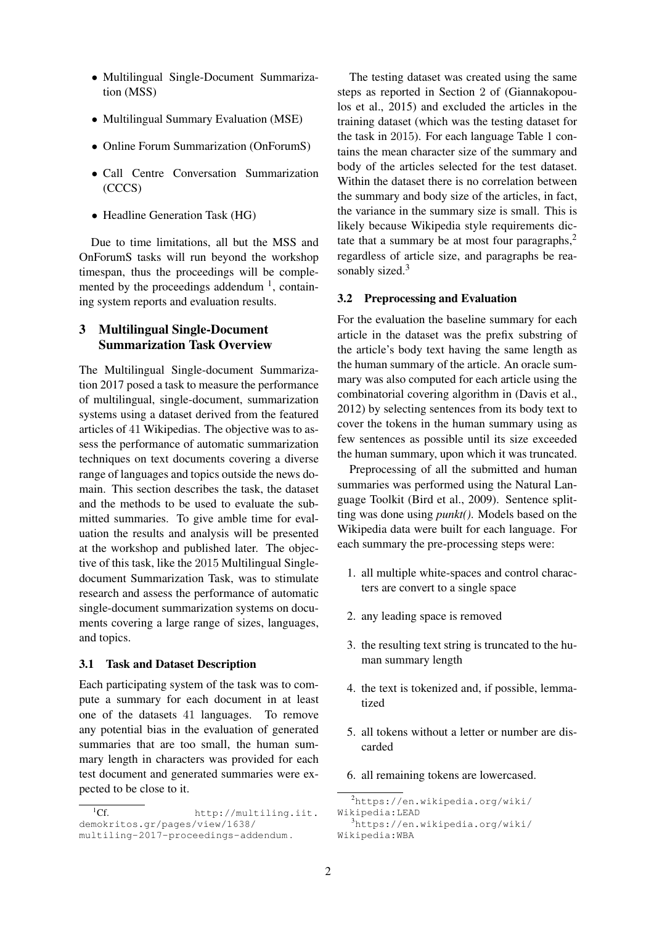- Multilingual Single-Document Summarization (MSS)
- Multilingual Summary Evaluation (MSE)
- Online Forum Summarization (OnForumS)
- Call Centre Conversation Summarization (CCCS)
- Headline Generation Task (HG)

Due to time limitations, all but the MSS and OnForumS tasks will run beyond the workshop timespan, thus the proceedings will be complemented by the proceedings addendum  $<sup>1</sup>$ , contain-</sup> ing system reports and evaluation results.

# 3 Multilingual Single-Document Summarization Task Overview

The Multilingual Single-document Summarization 2017 posed a task to measure the performance of multilingual, single-document, summarization systems using a dataset derived from the featured articles of 41 Wikipedias. The objective was to assess the performance of automatic summarization techniques on text documents covering a diverse range of languages and topics outside the news domain. This section describes the task, the dataset and the methods to be used to evaluate the submitted summaries. To give amble time for evaluation the results and analysis will be presented at the workshop and published later. The objective of this task, like the 2015 Multilingual Singledocument Summarization Task, was to stimulate research and assess the performance of automatic single-document summarization systems on documents covering a large range of sizes, languages, and topics.

#### 3.1 Task and Dataset Description

Each participating system of the task was to compute a summary for each document in at least one of the datasets 41 languages. To remove any potential bias in the evaluation of generated summaries that are too small, the human summary length in characters was provided for each test document and generated summaries were expected to be close to it.

The testing dataset was created using the same steps as reported in Section 2 of (Giannakopoulos et al., 2015) and excluded the articles in the training dataset (which was the testing dataset for the task in 2015). For each language Table 1 contains the mean character size of the summary and body of the articles selected for the test dataset. Within the dataset there is no correlation between the summary and body size of the articles, in fact, the variance in the summary size is small. This is likely because Wikipedia style requirements dictate that a summary be at most four paragraphs, $<sup>2</sup>$ </sup> regardless of article size, and paragraphs be reasonably sized.<sup>3</sup>

#### 3.2 Preprocessing and Evaluation

For the evaluation the baseline summary for each article in the dataset was the prefix substring of the article's body text having the same length as the human summary of the article. An oracle summary was also computed for each article using the combinatorial covering algorithm in (Davis et al., 2012) by selecting sentences from its body text to cover the tokens in the human summary using as few sentences as possible until its size exceeded the human summary, upon which it was truncated.

Preprocessing of all the submitted and human summaries was performed using the Natural Language Toolkit (Bird et al., 2009). Sentence splitting was done using *punkt()*. Models based on the Wikipedia data were built for each language. For each summary the pre-processing steps were:

- 1. all multiple white-spaces and control characters are convert to a single space
- 2. any leading space is removed
- 3. the resulting text string is truncated to the human summary length
- 4. the text is tokenized and, if possible, lemmatized
- 5. all tokens without a letter or number are discarded
- 6. all remaining tokens are lowercased.

 $\overline{^{1}Cf}$  http://multiling.iit. demokritos.gr/pages/view/1638/ multiling-2017-proceedings-addendum .

<sup>2</sup>https://en.wikipedia.org/wiki/ Wikipedia:LEAD <sup>3</sup>https://en.wikipedia.org/wiki/ Wikipedia:WBA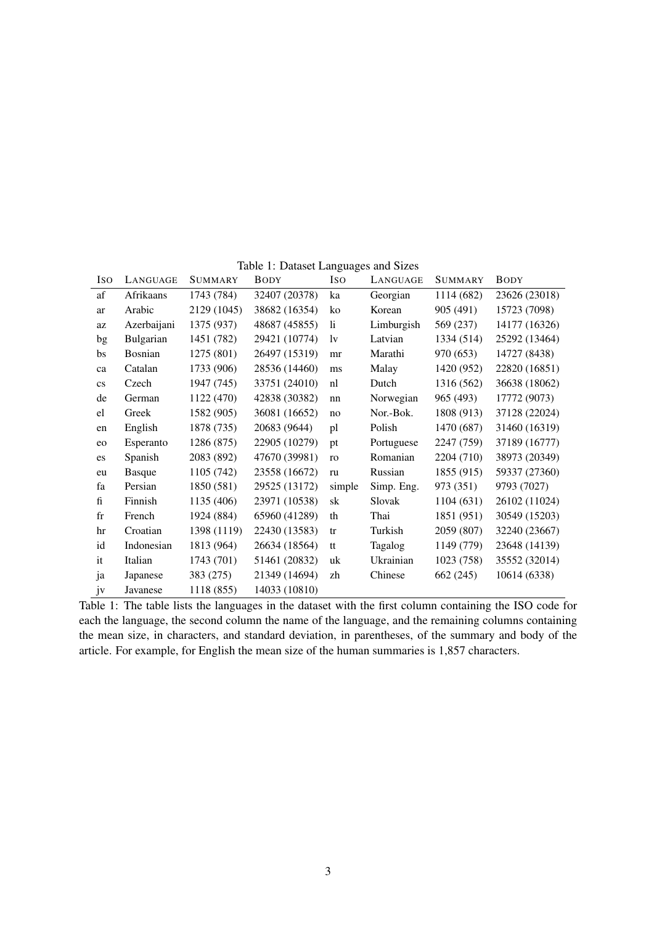| Iso                    | LANGUAGE       | <b>SUMMARY</b> | <b>BODY</b>   | <b>ISO</b>    | LANGUAGE   | <b>SUMMARY</b> | <b>BODY</b>   |
|------------------------|----------------|----------------|---------------|---------------|------------|----------------|---------------|
| af                     | Afrikaans      | 1743 (784)     | 32407 (20378) | ka            | Georgian   | 1114 (682)     | 23626 (23018) |
| ar                     | Arabic         | 2129 (1045)    | 38682 (16354) | ko            | Korean     | 905 (491)      | 15723 (7098)  |
| az                     | Azerbaijani    | 1375 (937)     | 48687 (45855) | $\mathbf{li}$ | Limburgish | 569 (237)      | 14177 (16326) |
| bg                     | Bulgarian      | 1451 (782)     | 29421 (10774) | 1v            | Latvian    | 1334 (514)     | 25292 (13464) |
| bs                     | <b>Bosnian</b> | 1275 (801)     | 26497 (15319) | mr            | Marathi    | 970 (653)      | 14727 (8438)  |
| ca                     | Catalan        | 1733 (906)     | 28536 (14460) | ms            | Malay      | 1420 (952)     | 22820 (16851) |
| $\mathbf{c}\mathbf{s}$ | Czech          | 1947 (745)     | 33751 (24010) | nl            | Dutch      | 1316 (562)     | 36638 (18062) |
| de                     | German         | 1122 (470)     | 42838 (30382) | nn            | Norwegian  | 965 (493)      | 17772 (9073)  |
| el                     | Greek          | 1582 (905)     | 36081 (16652) | no            | Nor.-Bok.  | 1808 (913)     | 37128 (22024) |
| en                     | English        | 1878 (735)     | 20683 (9644)  | pl            | Polish     | 1470 (687)     | 31460 (16319) |
| eo                     | Esperanto      | 1286 (875)     | 22905 (10279) | pt            | Portuguese | 2247 (759)     | 37189 (16777) |
| es                     | Spanish        | 2083 (892)     | 47670 (39981) | ro            | Romanian   | 2204 (710)     | 38973 (20349) |
| eu                     | <b>Basque</b>  | 1105 (742)     | 23558 (16672) | ru            | Russian    | 1855 (915)     | 59337 (27360) |
| fa                     | Persian        | 1850 (581)     | 29525 (13172) | simple        | Simp. Eng. | 973 (351)      | 9793 (7027)   |
| fi                     | Finnish        | 1135 (406)     | 23971 (10538) | sk            | Slovak     | 1104(631)      | 26102 (11024) |
| $_{\rm fr}$            | French         | 1924 (884)     | 65960 (41289) | th            | Thai       | 1851 (951)     | 30549 (15203) |
| hr                     | Croatian       | 1398 (1119)    | 22430 (13583) | tr            | Turkish    | 2059 (807)     | 32240 (23667) |
| id                     | Indonesian     | 1813 (964)     | 26634 (18564) | tt            | Tagalog    | 1149 (779)     | 23648 (14139) |
| it                     | Italian        | 1743 (701)     | 51461 (20832) | uk            | Ukrainian  | 1023 (758)     | 35552 (32014) |
| ja                     | Japanese       | 383 (275)      | 21349 (14694) | zh            | Chinese    | 662 (245)      | 10614 (6338)  |
| jv                     | Javanese       | 1118 (855)     | 14033 (10810) |               |            |                |               |

Table 1: Dataset Languages and Sizes

Table 1: The table lists the languages in the dataset with the first column containing the ISO code for each the language, the second column the name of the language, and the remaining columns containing the mean size, in characters, and standard deviation, in parentheses, of the summary and body of the article. For example, for English the mean size of the human summaries is 1,857 characters.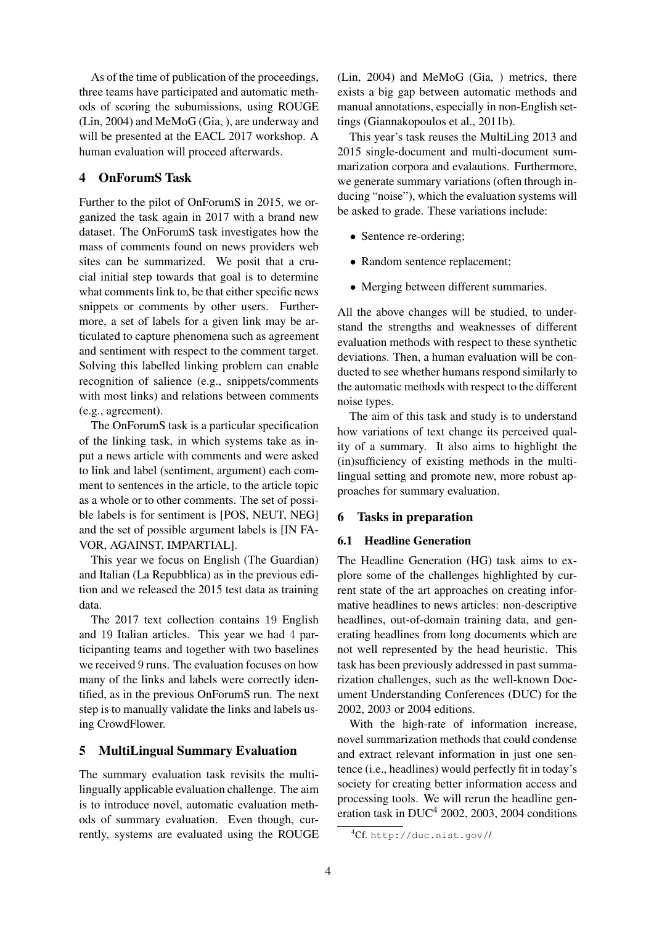As of the time of publication of the proceedings, three teams have participated and automatic methods of scoring the subumissions, using ROUGE (Lin, 2004) and MeMoG (Gia, ), are underway and will be presented at the EACL 2017 workshop. A human evaluation will proceed afterwards.

### 4 OnForumS Task

Further to the pilot of OnForumS in 2015, we organized the task again in 2017 with a brand new dataset. The OnForumS task investigates how the mass of comments found on news providers web sites can be summarized. We posit that a crucial initial step towards that goal is to determine what comments link to, be that either specific news snippets or comments by other users. Furthermore, a set of labels for a given link may be articulated to capture phenomena such as agreement and sentiment with respect to the comment target. Solving this labelled linking problem can enable recognition of salience (e.g., snippets/comments with most links) and relations between comments (e.g., agreement).

The OnForumS task is a particular specification of the linking task, in which systems take as input a news article with comments and were asked to link and label (sentiment, argument) each comment to sentences in the article, to the article topic as a whole or to other comments. The set of possible labels is for sentiment is [POS, NEUT, NEG] and the set of possible argument labels is [IN FA-VOR, AGAINST, IMPARTIAL].

This year we focus on English (The Guardian) and Italian (La Repubblica) as in the previous edition and we released the 2015 test data as training data.

The 2017 text collection contains 19 English and 19 Italian articles. This year we had 4 participanting teams and together with two baselines we received 9 runs. The evaluation focuses on how many of the links and labels were correctly identified, as in the previous OnForumS run. The next step is to manually validate the links and labels using CrowdFlower.

#### 5 MultiLingual Summary Evaluation

The summary evaluation task revisits the multilingually applicable evaluation challenge. The aim is to introduce novel, automatic evaluation methods of summary evaluation. Even though, currently, systems are evaluated using the ROUGE (Lin, 2004) and MeMoG (Gia, ) metrics, there exists a big gap between automatic methods and manual annotations, especially in non-English settings (Giannakopoulos et al., 2011b).

This year's task reuses the MultiLing 2013 and 2015 single-document and multi-document summarization corpora and evalautions. Furthermore, we generate summary variations (often through inducing "noise"), which the evaluation systems will be asked to grade. These variations include:

- Sentence re-ordering;
- Random sentence replacement;
- Merging between different summaries.

All the above changes will be studied, to understand the strengths and weaknesses of different evaluation methods with respect to these synthetic deviations. Then, a human evaluation will be conducted to see whether humans respond similarly to the automatic methods with respect to the different noise types.

The aim of this task and study is to understand how variations of text change its perceived quality of a summary. It also aims to highlight the (in)sufficiency of existing methods in the multilingual setting and promote new, more robust approaches for summary evaluation.

#### 6 Tasks in preparation

#### 6.1 Headline Generation

The Headline Generation (HG) task aims to explore some of the challenges highlighted by current state of the art approaches on creating informative headlines to news articles: non-descriptive headlines, out-of-domain training data, and generating headlines from long documents which are not well represented by the head heuristic. This task has been previously addressed in past summarization challenges, such as the well-known Document Understanding Conferences (DUC) for the 2002, 2003 or 2004 editions.

With the high-rate of information increase, novel summarization methods that could condense and extract relevant information in just one sentence (i.e., headlines) would perfectly fit in today's society for creating better information access and processing tools. We will rerun the headline generation task in  $DUC^4$  2002, 2003, 2004 conditions

<sup>4</sup>Cf. http://duc.nist.gov//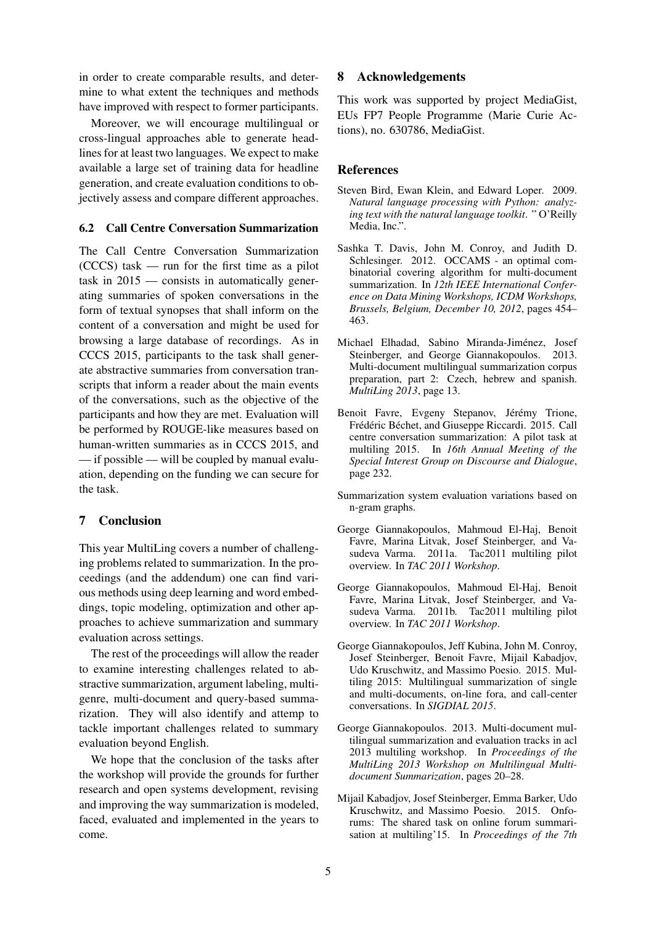in order to create comparable results, and determine to what extent the techniques and methods have improved with respect to former participants.

Moreover, we will encourage multilingual or cross-lingual approaches able to generate headlines for at least two languages. We expect to make available a large set of training data for headline generation, and create evaluation conditions to objectively assess and compare different approaches.

#### 6.2 Call Centre Conversation Summarization

The Call Centre Conversation Summarization (CCCS) task — run for the first time as a pilot task in 2015 — consists in automatically generating summaries of spoken conversations in the form of textual synopses that shall inform on the content of a conversation and might be used for browsing a large database of recordings. As in CCCS 2015, participants to the task shall generate abstractive summaries from conversation transcripts that inform a reader about the main events of the conversations, such as the objective of the participants and how they are met. Evaluation will be performed by ROUGE-like measures based on human-written summaries as in CCCS 2015, and — if possible — will be coupled by manual evaluation, depending on the funding we can secure for the task.

### 7 Conclusion

This year MultiLing covers a number of challenging problems related to summarization. In the proceedings (and the addendum) one can find various methods using deep learning and word embeddings, topic modeling, optimization and other approaches to achieve summarization and summary evaluation across settings.

The rest of the proceedings will allow the reader to examine interesting challenges related to abstractive summarization, argument labeling, multigenre, multi-document and query-based summarization. They will also identify and attemp to tackle important challenges related to summary evaluation beyond English.

We hope that the conclusion of the tasks after the workshop will provide the grounds for further research and open systems development, revising and improving the way summarization is modeled, faced, evaluated and implemented in the years to come.

#### 8 Acknowledgements

This work was supported by project MediaGist, EUs FP7 People Programme (Marie Curie Actions), no. 630786, MediaGist.

#### **References**

- Steven Bird, Ewan Klein, and Edward Loper. 2009. *Natural language processing with Python: analyzing text with the natural language toolkit*. " O'Reilly Media, Inc.".
- Sashka T. Davis, John M. Conroy, and Judith D. Schlesinger. 2012. OCCAMS - an optimal combinatorial covering algorithm for multi-document summarization. In *12th IEEE International Conference on Data Mining Workshops, ICDM Workshops, Brussels, Belgium, December 10, 2012*, pages 454– 463.
- Michael Elhadad, Sabino Miranda-Jiménez, Josef Steinberger, and George Giannakopoulos. 2013. Multi-document multilingual summarization corpus preparation, part 2: Czech, hebrew and spanish. *MultiLing 2013*, page 13.
- Benoit Favre, Evgeny Stepanov, Jérémy Trione, Frédéric Béchet, and Giuseppe Riccardi. 2015. Call centre conversation summarization: A pilot task at multiling 2015. In *16th Annual Meeting of the Special Interest Group on Discourse and Dialogue*, page 232.
- Summarization system evaluation variations based on n-gram graphs.
- George Giannakopoulos, Mahmoud El-Haj, Benoit Favre, Marina Litvak, Josef Steinberger, and Vasudeva Varma. 2011a. Tac2011 multiling pilot overview. In *TAC 2011 Workshop*.
- George Giannakopoulos, Mahmoud El-Haj, Benoit Favre, Marina Litvak, Josef Steinberger, and Vasudeva Varma. 2011b. Tac2011 multiling pilot overview. In *TAC 2011 Workshop*.
- George Giannakopoulos, Jeff Kubina, John M. Conroy, Josef Steinberger, Benoit Favre, Mijail Kabadjov, Udo Kruschwitz, and Massimo Poesio. 2015. Multiling 2015: Multilingual summarization of single and multi-documents, on-line fora, and call-center conversations. In *SIGDIAL 2015*.
- George Giannakopoulos. 2013. Multi-document multilingual summarization and evaluation tracks in acl 2013 multiling workshop. In *Proceedings of the MultiLing 2013 Workshop on Multilingual Multidocument Summarization*, pages 20–28.
- Mijail Kabadjov, Josef Steinberger, Emma Barker, Udo Kruschwitz, and Massimo Poesio. 2015. Onforums: The shared task on online forum summarisation at multiling'15. In *Proceedings of the 7th*